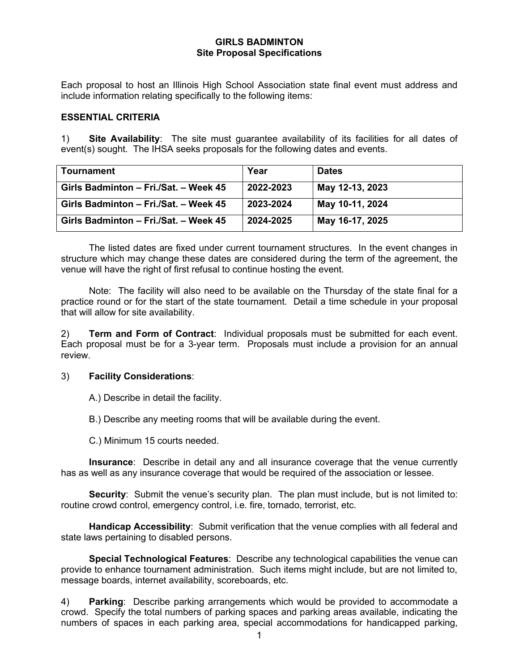### **GIRLS BADMINTON Site Proposal Specifications**

Each proposal to host an Illinois High School Association state final event must address and include information relating specifically to the following items:

#### **ESSENTIAL CRITERIA**

1) **Site Availability**: The site must guarantee availability of its facilities for all dates of event(s) sought. The IHSA seeks proposals for the following dates and events.

| <b>Tournament</b>                     | Year      | <b>Dates</b>    |
|---------------------------------------|-----------|-----------------|
| Girls Badminton - Fri./Sat. - Week 45 | 2022-2023 | May 12-13, 2023 |
| Girls Badminton - Fri./Sat. - Week 45 | 2023-2024 | May 10-11, 2024 |
| Girls Badminton - Fri./Sat. - Week 45 | 2024-2025 | May 16-17, 2025 |

The listed dates are fixed under current tournament structures. In the event changes in structure which may change these dates are considered during the term of the agreement, the venue will have the right of first refusal to continue hosting the event.

Note: The facility will also need to be available on the Thursday of the state final for a practice round or for the start of the state tournament. Detail a time schedule in your proposal that will allow for site availability.

2) **Term and Form of Contract**: Individual proposals must be submitted for each event. Each proposal must be for a 3-year term. Proposals must include a provision for an annual review.

### 3) **Facility Considerations**:

A.) Describe in detail the facility.

B.) Describe any meeting rooms that will be available during the event.

C.) Minimum 15 courts needed.

**Insurance**: Describe in detail any and all insurance coverage that the venue currently has as well as any insurance coverage that would be required of the association or lessee.

**Security**: Submit the venue's security plan. The plan must include, but is not limited to: routine crowd control, emergency control, i.e. fire, tornado, terrorist, etc.

**Handicap Accessibility**: Submit verification that the venue complies with all federal and state laws pertaining to disabled persons.

**Special Technological Features**: Describe any technological capabilities the venue can provide to enhance tournament administration. Such items might include, but are not limited to, message boards, internet availability, scoreboards, etc.

4) **Parking**: Describe parking arrangements which would be provided to accommodate a crowd. Specify the total numbers of parking spaces and parking areas available, indicating the numbers of spaces in each parking area, special accommodations for handicapped parking,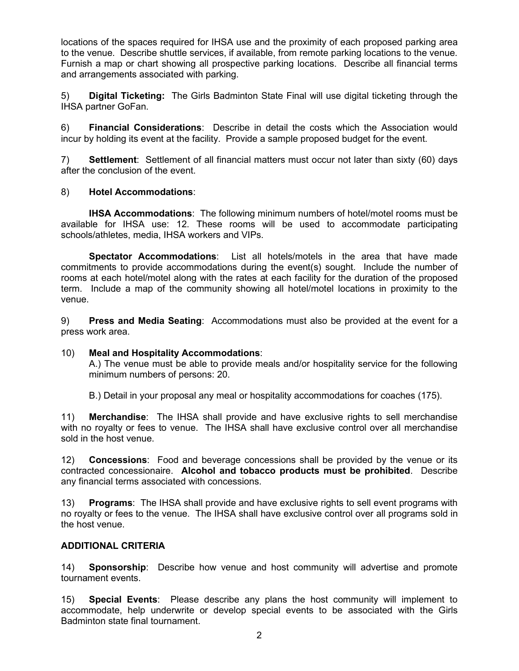locations of the spaces required for IHSA use and the proximity of each proposed parking area to the venue. Describe shuttle services, if available, from remote parking locations to the venue. Furnish a map or chart showing all prospective parking locations. Describe all financial terms and arrangements associated with parking.

5) **Digital Ticketing:** The Girls Badminton State Final will use digital ticketing through the IHSA partner GoFan.

6) **Financial Considerations**: Describe in detail the costs which the Association would incur by holding its event at the facility. Provide a sample proposed budget for the event.

7) **Settlement**: Settlement of all financial matters must occur not later than sixty (60) days after the conclusion of the event.

# 8) **Hotel Accommodations**:

**IHSA Accommodations**: The following minimum numbers of hotel/motel rooms must be available for IHSA use: 12. These rooms will be used to accommodate participating schools/athletes, media, IHSA workers and VIPs.

**Spectator Accommodations**: List all hotels/motels in the area that have made commitments to provide accommodations during the event(s) sought. Include the number of rooms at each hotel/motel along with the rates at each facility for the duration of the proposed term. Include a map of the community showing all hotel/motel locations in proximity to the venue.

9) **Press and Media Seating**: Accommodations must also be provided at the event for a press work area.

### 10) **Meal and Hospitality Accommodations**:

A.) The venue must be able to provide meals and/or hospitality service for the following minimum numbers of persons: 20.

B.) Detail in your proposal any meal or hospitality accommodations for coaches (175).

11) **Merchandise**: The IHSA shall provide and have exclusive rights to sell merchandise with no royalty or fees to venue. The IHSA shall have exclusive control over all merchandise sold in the host venue.

12) **Concessions**: Food and beverage concessions shall be provided by the venue or its contracted concessionaire. **Alcohol and tobacco products must be prohibited**. Describe any financial terms associated with concessions.

13) **Programs**: The IHSA shall provide and have exclusive rights to sell event programs with no royalty or fees to the venue. The IHSA shall have exclusive control over all programs sold in the host venue.

# **ADDITIONAL CRITERIA**

14) **Sponsorship**: Describe how venue and host community will advertise and promote tournament events.

15) **Special Events**: Please describe any plans the host community will implement to accommodate, help underwrite or develop special events to be associated with the Girls Badminton state final tournament.